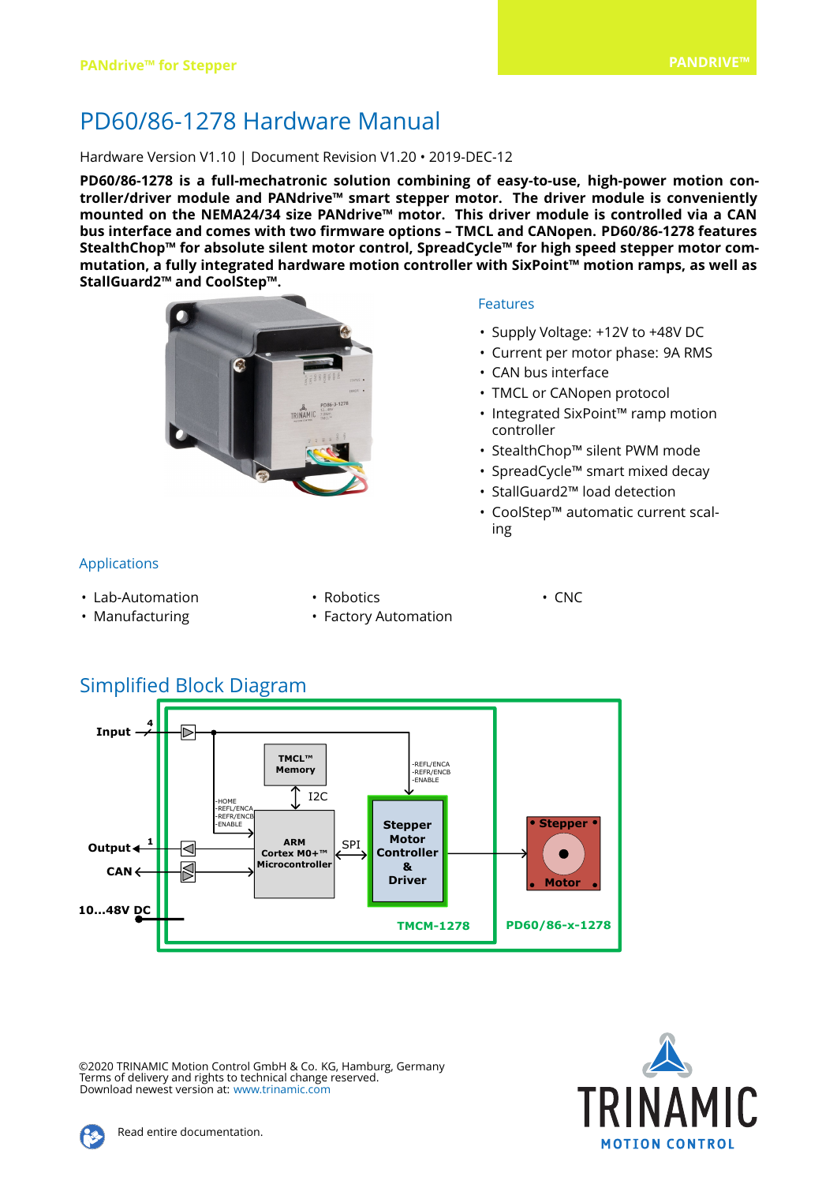# PD60/86-1278 Hardware Manual

#### Hardware Version V1.10 | Document Revision V1.20 • 2019-DEC-12

**PD60/86-1278 is a full-mechatronic solution combining of easy-to-use, high-power motion controller/driver module and PANdrive™ smart stepper motor. The driver module is conveniently mounted on the NEMA24/34 size PANdrive™ motor. This driver module is controlled via a CAN bus interface and comes with two firmware options – TMCL and CANopen. PD60/86-1278 features StealthChop™ for absolute silent motor control, SpreadCycle™ for high speed stepper motor commutation, a fully integrated hardware motion controller with SixPoint™ motion ramps, as well as StallGuard2™ and CoolStep™.**



#### Features

- Supply Voltage: +12V to +48V DC
- Current per motor phase: 9A RMS
- CAN bus interface
- TMCL or CANopen protocol
- Integrated SixPoint™ ramp motion controller
- StealthChop™ silent PWM mode
- SpreadCycle™ smart mixed decay
- StallGuard2™ load detection
- CoolStep™ automatic current scaling

#### Applications

- Lab-Automation
- Robotics
- Manufacturing
- 
- Factory Automation
- CNC

## Simplified Block Diagram



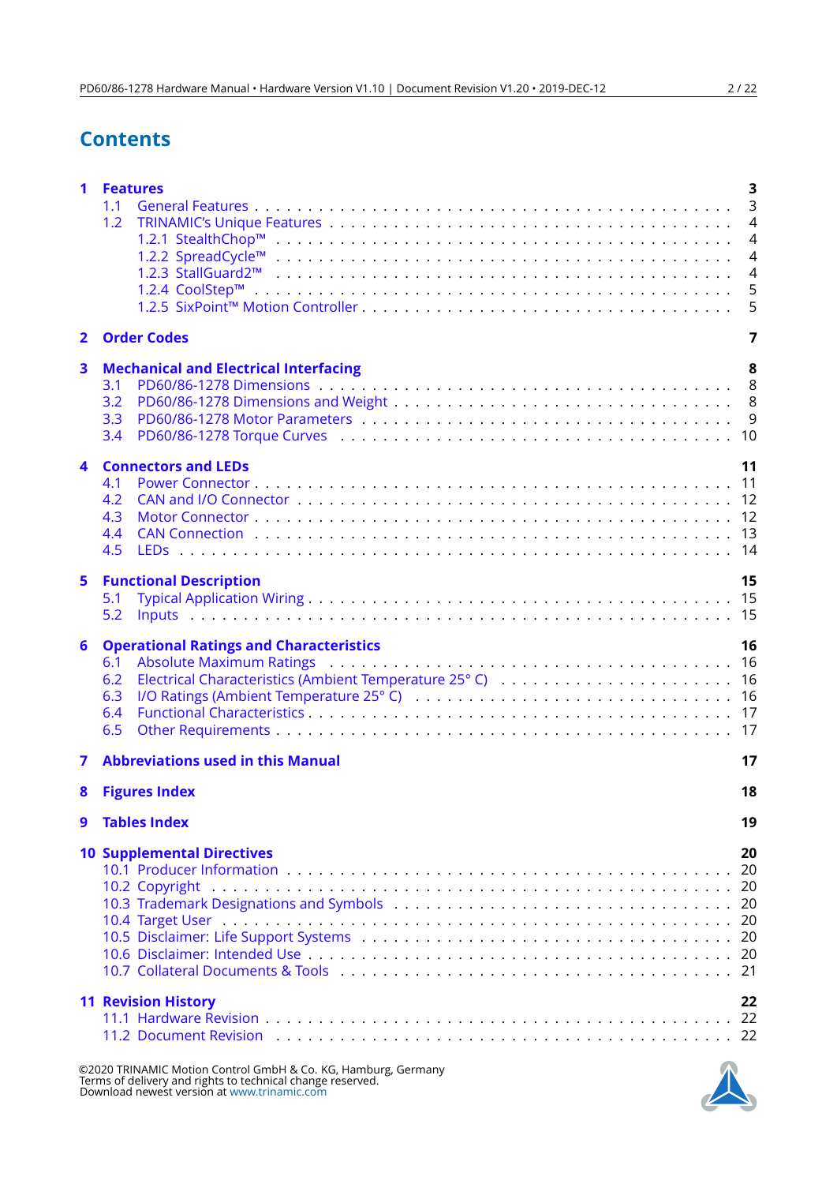# **Contents**

| 1                       | <b>Features</b><br>1.1<br>1.2<br>1.2.3 StallGuard2™                                                                                   | 3<br>$\overline{3}$<br>$\overline{4}$<br>$\overline{4}$<br>$\overline{4}$<br>$\overline{4}$<br>5<br>5 |
|-------------------------|---------------------------------------------------------------------------------------------------------------------------------------|-------------------------------------------------------------------------------------------------------|
| $\mathbf{2}$            | <b>Order Codes</b>                                                                                                                    | 7                                                                                                     |
| $\overline{\mathbf{3}}$ | <b>Mechanical and Electrical Interfacing</b><br>3.1<br>3.2<br>3.3<br>3.4                                                              | 8<br>8<br>9                                                                                           |
| 4                       | <b>Connectors and LEDs</b><br>4.1<br>4.2<br>4.3<br>4.4<br>4.5                                                                         | 11                                                                                                    |
| 5                       | <b>Functional Description</b><br>5.1<br>5.2                                                                                           | 15                                                                                                    |
| 6                       | <b>Operational Ratings and Characteristics</b><br>6.1<br>6.2<br>6.3<br>6.4<br>6.5                                                     | 16                                                                                                    |
| 7                       | <b>Abbreviations used in this Manual</b>                                                                                              | 17                                                                                                    |
| 8                       | <b>Figures Index</b>                                                                                                                  | 18                                                                                                    |
| 9                       | <b>Tables Index</b>                                                                                                                   | 19                                                                                                    |
|                         | <b>10 Supplemental Directives</b><br>10.2 Copyright                                                                                   | 20                                                                                                    |
|                         | <b>11 Revision History</b><br>11.2 Document Revision (also contained also contained also contained also contained also contained a 22 | 22                                                                                                    |



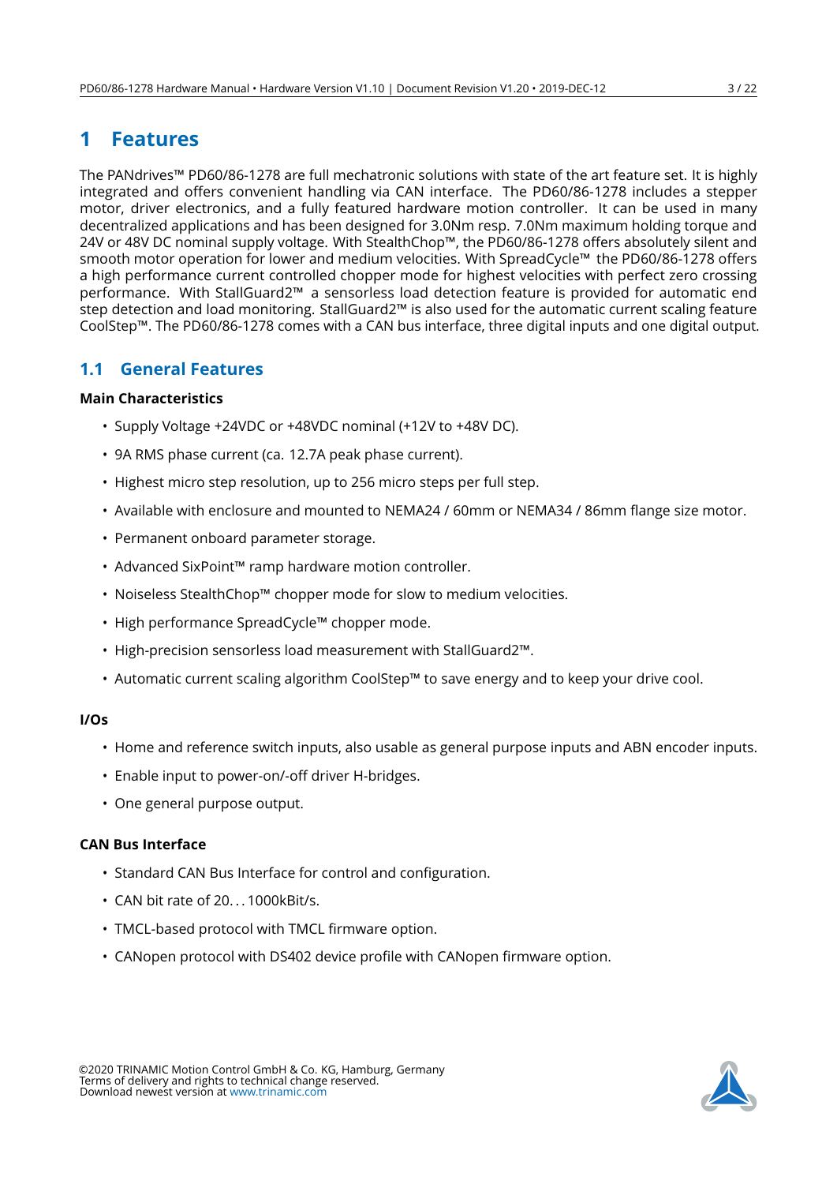## <span id="page-2-0"></span>**1 Features**

The PANdrives™ PD60/86-1278 are full mechatronic solutions with state of the art feature set. It is highly integrated and offers convenient handling via CAN interface. The PD60/86-1278 includes a stepper motor, driver electronics, and a fully featured hardware motion controller. It can be used in many decentralized applications and has been designed for 3.0Nm resp. 7.0Nm maximum holding torque and 24V or 48V DC nominal supply voltage. With StealthChop™, the PD60/86-1278 offers absolutely silent and smooth motor operation for lower and medium velocities. With SpreadCycle™ the PD60/86-1278 offers a high performance current controlled chopper mode for highest velocities with perfect zero crossing performance. With StallGuard2™ a sensorless load detection feature is provided for automatic end step detection and load monitoring. StallGuard2™ is also used for the automatic current scaling feature CoolStep™. The PD60/86-1278 comes with a CAN bus interface, three digital inputs and one digital output.

## <span id="page-2-1"></span>**1.1 General Features**

#### **Main Characteristics**

- Supply Voltage +24VDC or +48VDC nominal (+12V to +48V DC).
- 9A RMS phase current (ca. 12.7A peak phase current).
- Highest micro step resolution, up to 256 micro steps per full step.
- Available with enclosure and mounted to NEMA24 / 60mm or NEMA34 / 86mm flange size motor.
- Permanent onboard parameter storage.
- Advanced SixPoint™ ramp hardware motion controller.
- Noiseless StealthChop™ chopper mode for slow to medium velocities.
- High performance SpreadCycle™ chopper mode.
- High-precision sensorless load measurement with StallGuard2™.
- Automatic current scaling algorithm CoolStep™ to save energy and to keep your drive cool.

#### **I/Os**

- Home and reference switch inputs, also usable as general purpose inputs and ABN encoder inputs.
- Enable input to power-on/-off driver H-bridges.
- One general purpose output.

#### **CAN Bus Interface**

- Standard CAN Bus Interface for control and configuration.
- CAN bit rate of 20...1000kBit/s.
- TMCL-based protocol with TMCL firmware option.
- CANopen protocol with DS402 device profile with CANopen firmware option.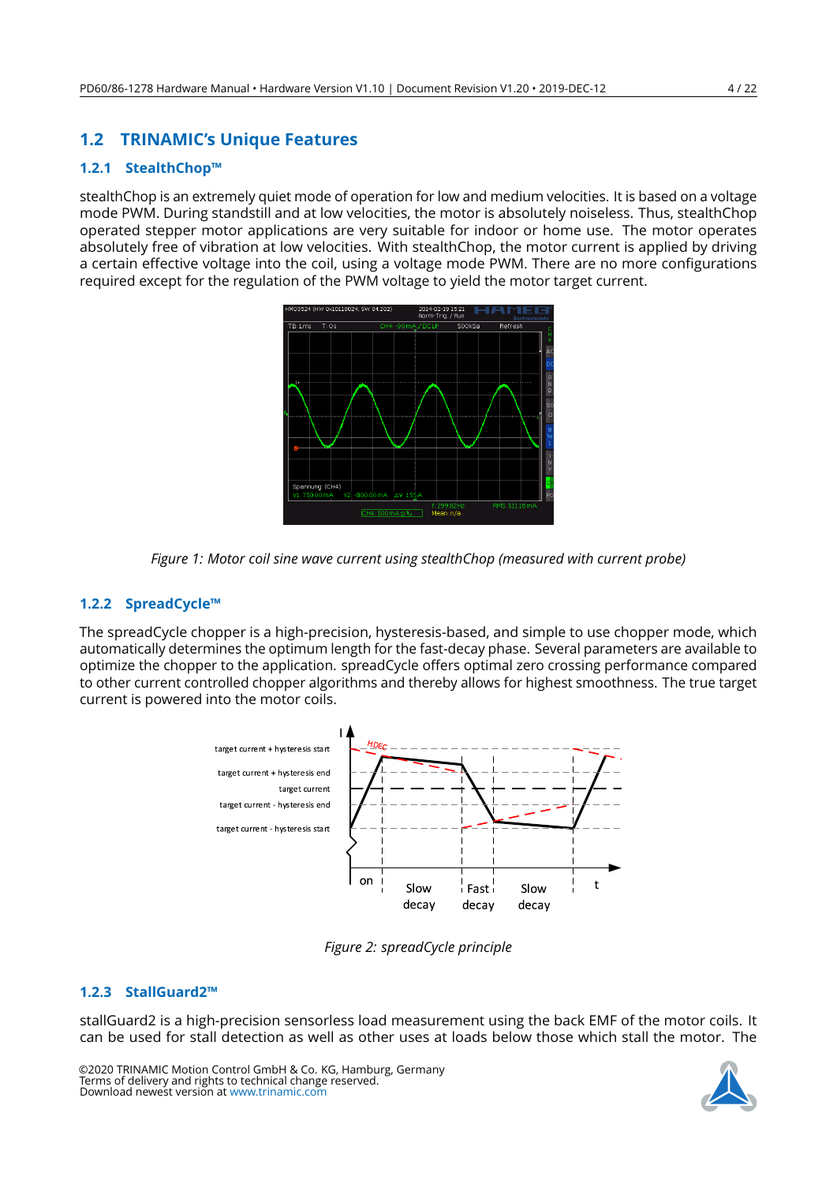## <span id="page-3-0"></span>**1.2 TRINAMIC's Unique Features**

#### <span id="page-3-1"></span>**1.2.1 StealthChop™**

<span id="page-3-4"></span>stealthChop is an extremely quiet mode of operation for low and medium velocities. It is based on a voltage mode PWM. During standstill and at low velocities, the motor is absolutely noiseless. Thus, stealthChop operated stepper motor applications are very suitable for indoor or home use. The motor operates absolutely free of vibration at low velocities. With stealthChop, the motor current is applied by driving a certain effective voltage into the coil, using a voltage mode PWM. There are no more configurations required except for the regulation of the PWM voltage to yield the motor target current.



*Figure 1: Motor coil sine wave current using stealthChop (measured with current probe)*

#### <span id="page-3-2"></span>**1.2.2 SpreadCycle™**

<span id="page-3-5"></span>The spreadCycle chopper is a high-precision, hysteresis-based, and simple to use chopper mode, which automatically determines the optimum length for the fast-decay phase. Several parameters are available to optimize the chopper to the application. spreadCycle offers optimal zero crossing performance compared to other current controlled chopper algorithms and thereby allows for highest smoothness. The true target current is powered into the motor coils.



*Figure 2: spreadCycle principle*

#### <span id="page-3-3"></span>**1.2.3 StallGuard2™**

stallGuard2 is a high-precision sensorless load measurement using the back EMF of the motor coils. It can be used for stall detection as well as other uses at loads below those which stall the motor. The

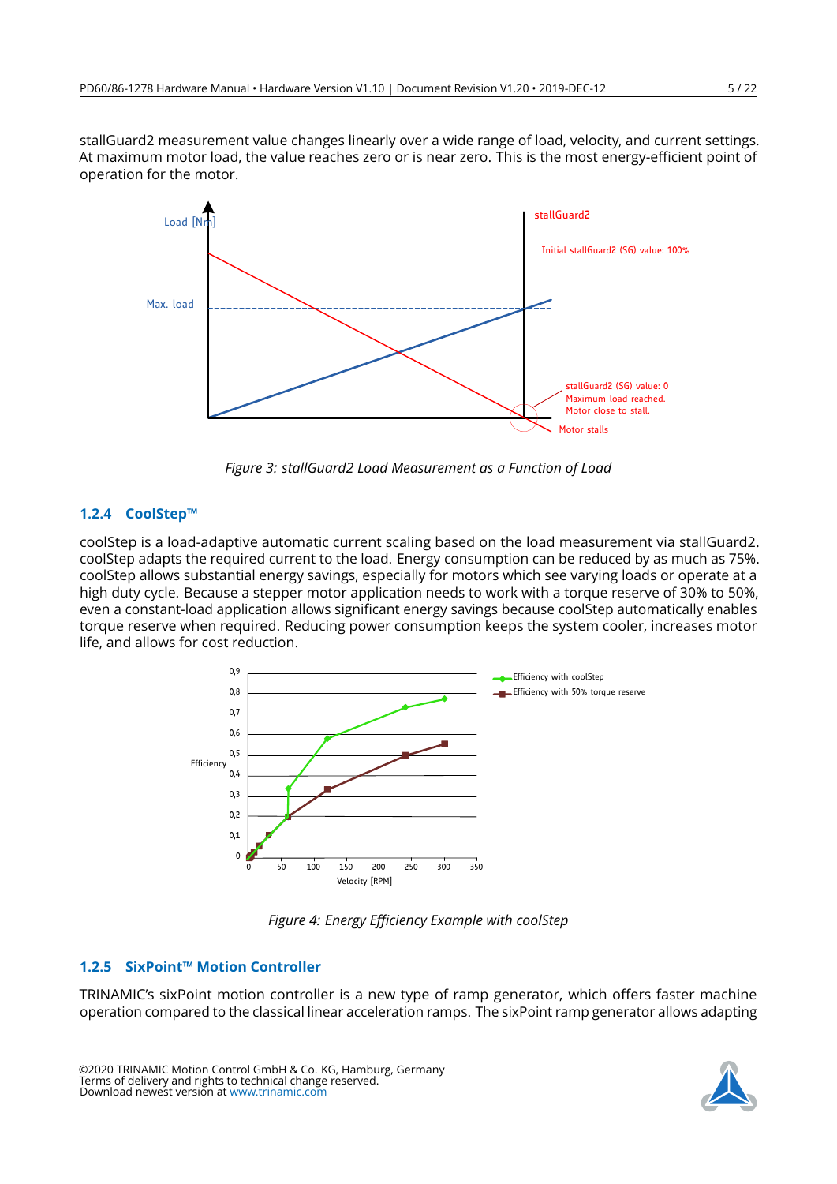stallGuard2 measurement value changes linearly over a wide range of load, velocity, and current settings. At maximum motor load, the value reaches zero or is near zero. This is the most energy-efficient point of operation for the motor.

<span id="page-4-2"></span>

*Figure 3: stallGuard2 Load Measurement as a Function of Load*

#### <span id="page-4-0"></span>**1.2.4 CoolStep™**

coolStep is a load-adaptive automatic current scaling based on the load measurement via stallGuard2. coolStep adapts the required current to the load. Energy consumption can be reduced by as much as 75%. coolStep allows substantial energy savings, especially for motors which see varying loads or operate at a high duty cycle. Because a stepper motor application needs to work with a torque reserve of 30% to 50%, even a constant-load application allows significant energy savings because coolStep automatically enables torque reserve when required. Reducing power consumption keeps the system cooler, increases motor life, and allows for cost reduction.

<span id="page-4-3"></span>

*Figure 4: Energy Efficiency Example with coolStep*

#### <span id="page-4-1"></span>**1.2.5 SixPoint™ Motion Controller**

TRINAMIC's sixPoint motion controller is a new type of ramp generator, which offers faster machine operation compared to the classical linear acceleration ramps. The sixPoint ramp generator allows adapting

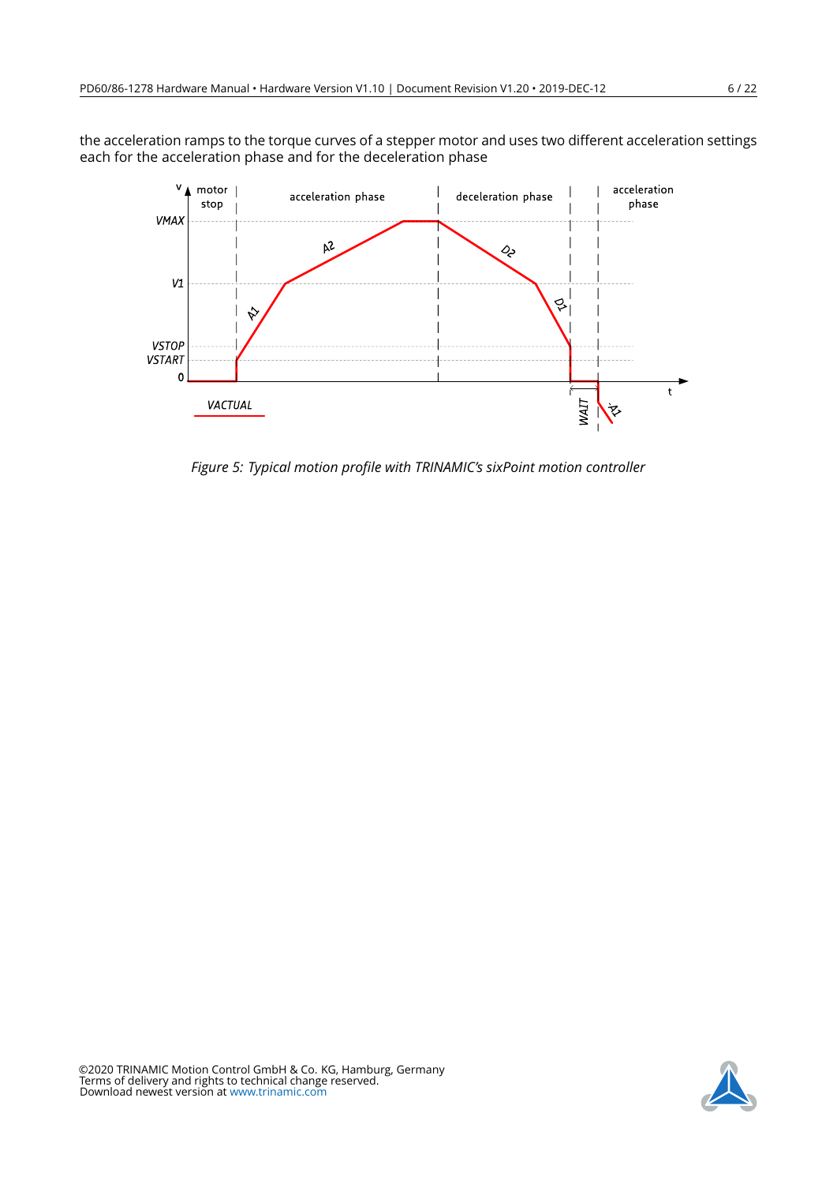<span id="page-5-0"></span>the acceleration ramps to the torque curves of a stepper motor and uses two different acceleration settings each for the acceleration phase and for the deceleration phase



*Figure 5: Typical motion profile with TRINAMIC's sixPoint motion controller*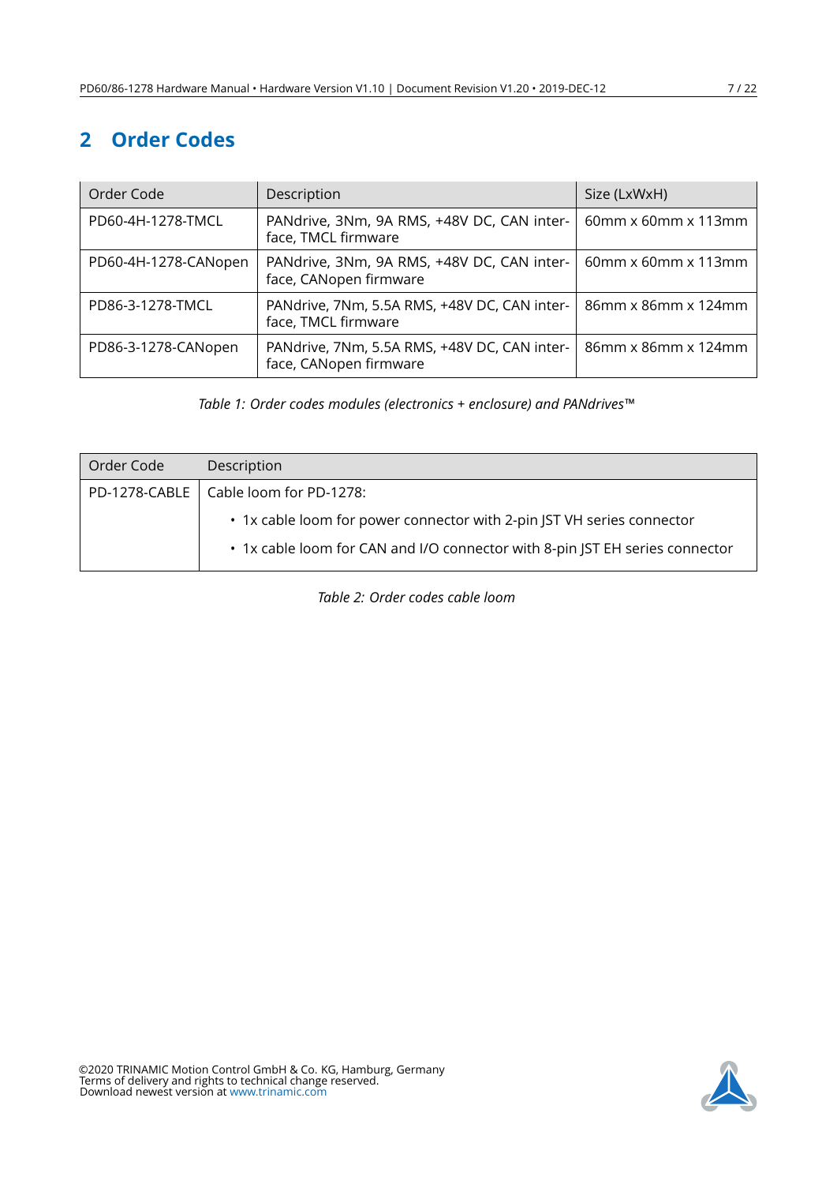# <span id="page-6-0"></span>**2 Order Codes**

<span id="page-6-1"></span>

| Order Code           | Description                                                            | Size (LxWxH)              |  |
|----------------------|------------------------------------------------------------------------|---------------------------|--|
| PD60-4H-1278-TMCL    | PANdrive, 3Nm, 9A RMS, +48V DC, CAN inter-<br>face, TMCL firmware      | 60mm x 60mm x 113mm       |  |
| PD60-4H-1278-CANopen | PANdrive, 3Nm, 9A RMS, +48V DC, CAN inter-<br>face, CANopen firmware   | $60$ mm x $60$ mm x 113mm |  |
| PD86-3-1278-TMCL     | PANdrive, 7Nm, 5.5A RMS, +48V DC, CAN inter-<br>face, TMCL firmware    | 86mm x 86mm x 124mm       |  |
| PD86-3-1278-CANopen  | PANdrive, 7Nm, 5.5A RMS, +48V DC, CAN inter-<br>face, CANopen firmware | 86mm x 86mm x 124mm       |  |

*Table 1: Order codes modules (electronics + enclosure) and PANdrives™*

<span id="page-6-2"></span>

| Order Code | Description                                                                                                                                            |  |
|------------|--------------------------------------------------------------------------------------------------------------------------------------------------------|--|
|            | PD-1278-CABLE   Cable loom for PD-1278:                                                                                                                |  |
|            | • 1x cable loom for power connector with 2-pin JST VH series connector<br>• 1x cable loom for CAN and I/O connector with 8-pin JST EH series connector |  |

*Table 2: Order codes cable loom*

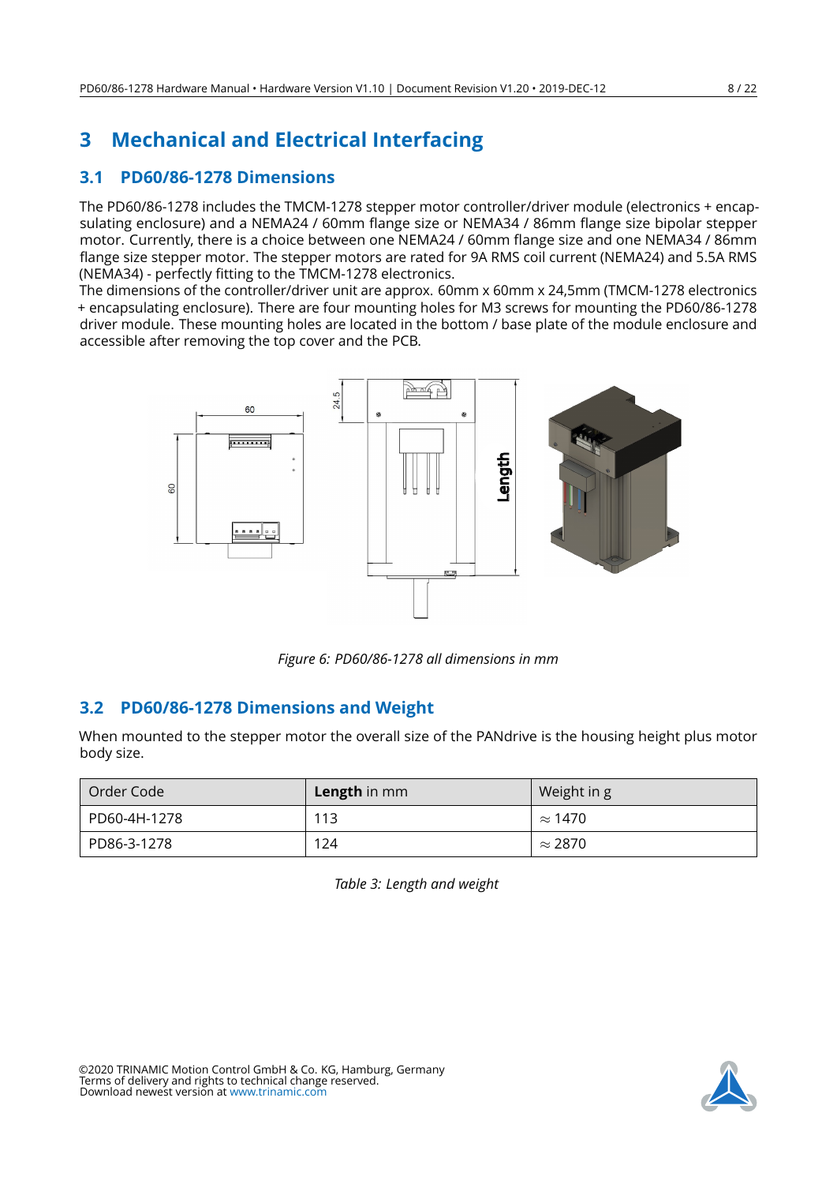# <span id="page-7-0"></span>**3 Mechanical and Electrical Interfacing**

## <span id="page-7-1"></span>**3.1 PD60/86-1278 Dimensions**

The PD60/86-1278 includes the TMCM-1278 stepper motor controller/driver module (electronics + encapsulating enclosure) and a NEMA24 / 60mm flange size or NEMA34 / 86mm flange size bipolar stepper motor. Currently, there is a choice between one NEMA24 / 60mm flange size and one NEMA34 / 86mm flange size stepper motor. The stepper motors are rated for 9A RMS coil current (NEMA24) and 5.5A RMS (NEMA34) - perfectly fitting to the TMCM-1278 electronics.

The dimensions of the controller/driver unit are approx. 60mm x 60mm x 24,5mm (TMCM-1278 electronics + encapsulating enclosure). There are four mounting holes for M3 screws for mounting the PD60/86-1278 driver module. These mounting holes are located in the bottom / base plate of the module enclosure and accessible after removing the top cover and the PCB.

<span id="page-7-3"></span>

*Figure 6: PD60/86-1278 all dimensions in mm*

## <span id="page-7-2"></span>**3.2 PD60/86-1278 Dimensions and Weight**

When mounted to the stepper motor the overall size of the PANdrive is the housing height plus motor body size.

<span id="page-7-4"></span>

| Order Code   | <b>Length</b> in mm | Weight in g    |
|--------------|---------------------|----------------|
| PD60-4H-1278 | 113                 | $\approx$ 1470 |
| PD86-3-1278  | 124                 | $\approx$ 2870 |

*Table 3: Length and weight*



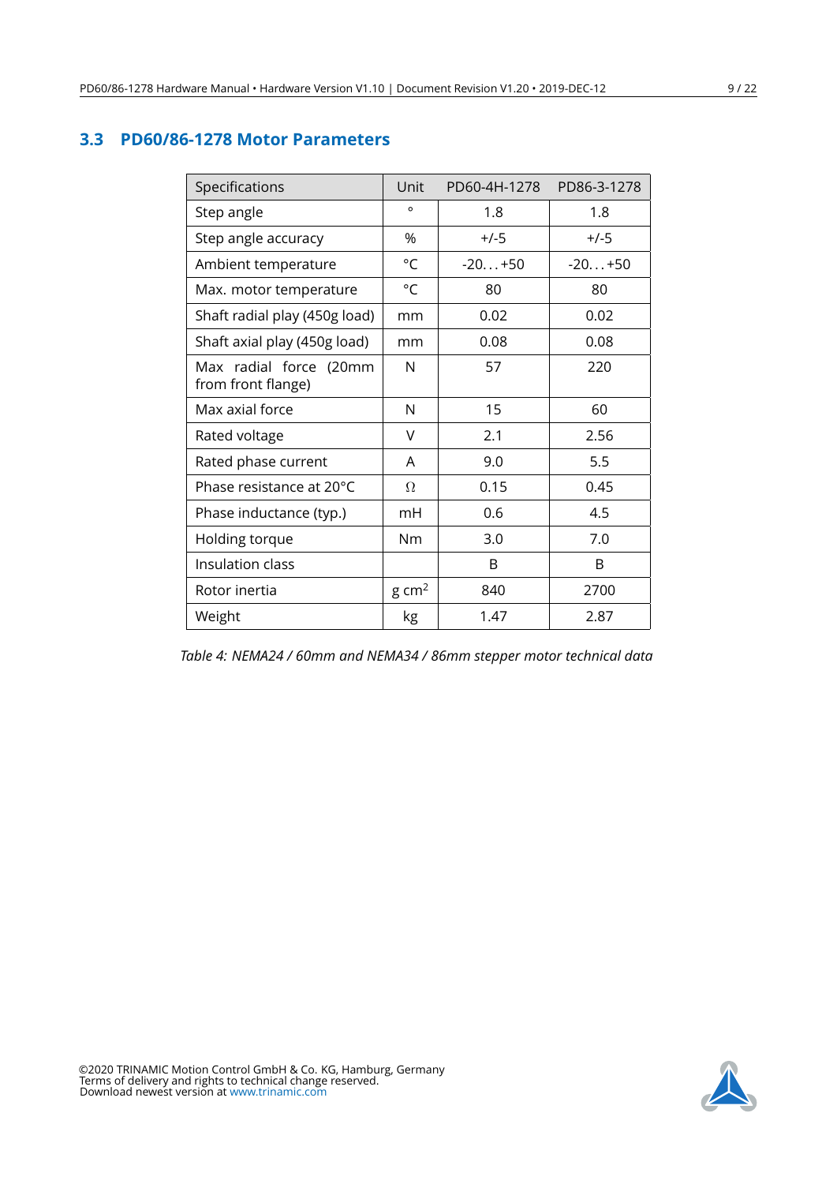## <span id="page-8-1"></span><span id="page-8-0"></span>**3.3 PD60/86-1278 Motor Parameters**

| Specifications                               | Unit             | PD60-4H-1278 | PD86-3-1278 |
|----------------------------------------------|------------------|--------------|-------------|
| Step angle                                   | $\circ$          | 1.8          | 1.8         |
| Step angle accuracy                          | %                | $+/-5$       | $+/-5$      |
| Ambient temperature                          | °C               | $-20+50$     | $-20+50$    |
| Max. motor temperature                       | °C               | 80           | 80          |
| Shaft radial play (450g load)                | mm               | 0.02         | 0.02        |
| Shaft axial play (450g load)                 | mm               | 0.08         | 0.08        |
| Max radial force (20mm<br>from front flange) | N                | 57           | 220         |
| Max axial force                              | N                | 15           | 60          |
| Rated voltage                                | V                | 2.1          | 2.56        |
| Rated phase current                          | A                | 9.0          | 5.5         |
| Phase resistance at 20°C                     | Ω                | 0.15         | 0.45        |
| Phase inductance (typ.)                      | mH               | 0.6          | 4.5         |
| Holding torque                               | Nm               | 3.0          | 7.0         |
| Insulation class                             |                  | B            | B           |
| Rotor inertia                                | $g \text{ cm}^2$ | 840          | 2700        |
| Weight                                       | kg               | 1.47         | 2.87        |

*Table 4: NEMA24 / 60mm and NEMA34 / 86mm stepper motor technical data*

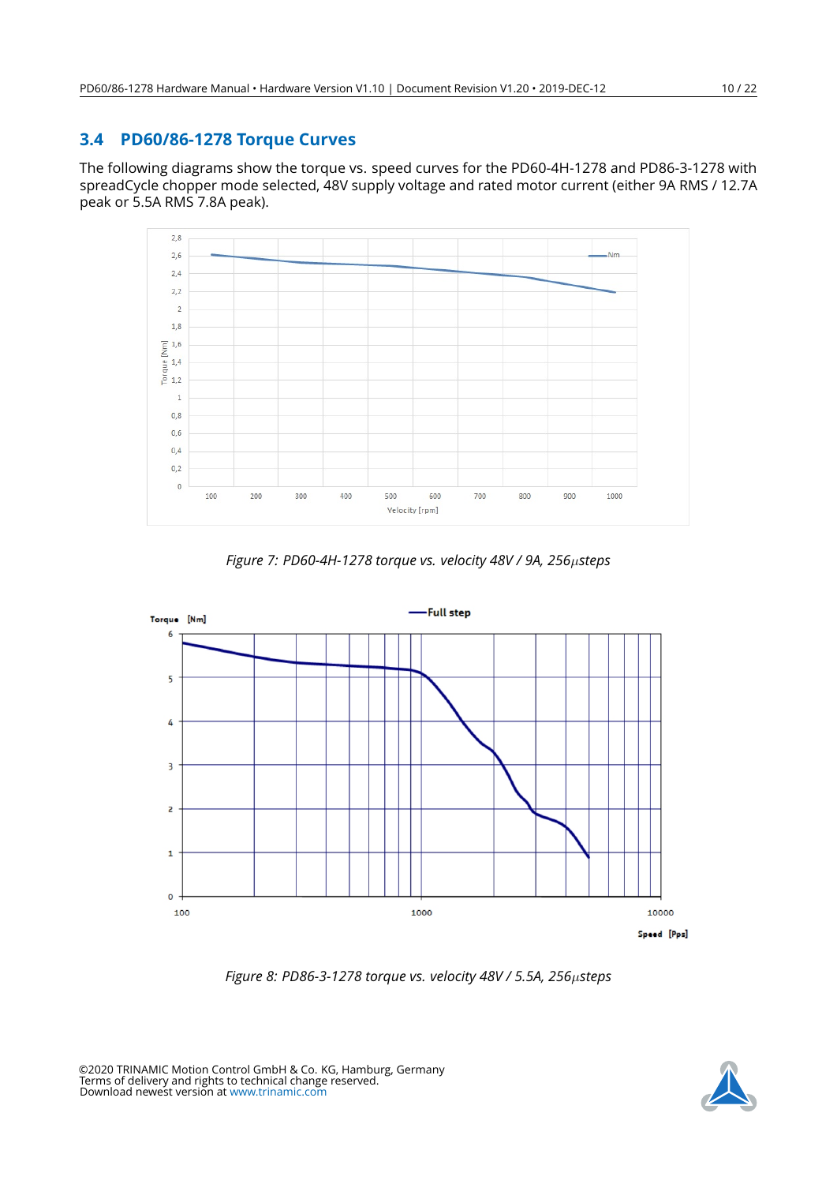### <span id="page-9-0"></span>**3.4 PD60/86-1278 Torque Curves**

The following diagrams show the torque vs. speed curves for the PD60-4H-1278 and PD86-3-1278 with spreadCycle chopper mode selected, 48V supply voltage and rated motor current (either 9A RMS / 12.7A peak or 5.5A RMS 7.8A peak).

<span id="page-9-1"></span>



<span id="page-9-2"></span>

*Figure 8: PD86-3-1278 torque vs. velocity 48V / 5.5A, 256*µ*steps*

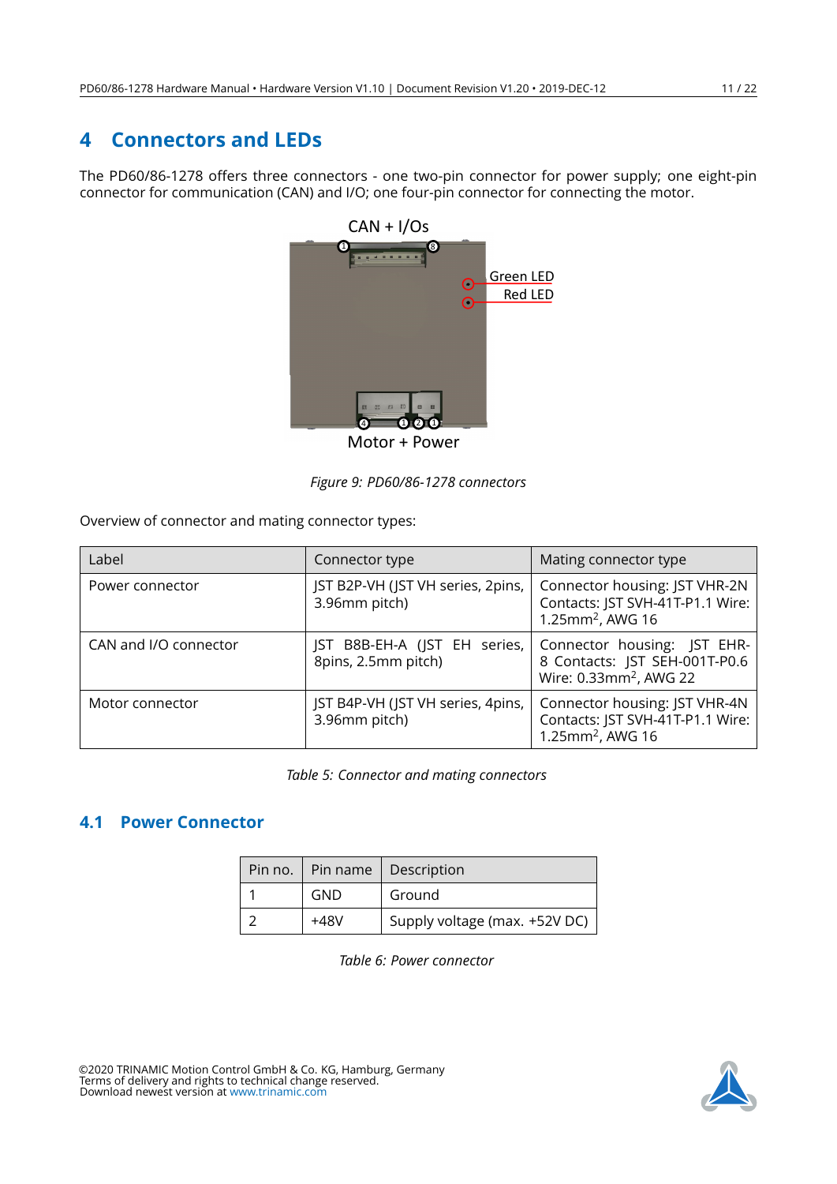## <span id="page-10-0"></span>**4 Connectors and LEDs**

<span id="page-10-2"></span>The PD60/86-1278 offers three connectors - one two-pin connector for power supply; one eight-pin connector for communication (CAN) and I/O; one four-pin connector for connecting the motor.



Motor + Power

*Figure 9: PD60/86-1278 connectors*

Overview of connector and mating connector types:

<span id="page-10-3"></span>

| Label                 | Connector type                                      | Mating connector type                                                                              |
|-----------------------|-----------------------------------------------------|----------------------------------------------------------------------------------------------------|
| Power connector       | JST B2P-VH (JST VH series, 2pins,<br>3.96mm pitch)  | Connector housing: JST VHR-2N<br>Contacts: JST SVH-41T-P1.1 Wire:<br>1.25mm <sup>2</sup> , AWG 16  |
| CAN and I/O connector | JST B8B-EH-A (JST EH series,<br>8pins, 2.5mm pitch) | Connector housing: JST EHR-<br>8 Contacts: JST SEH-001T-P0.6<br>Wire: 0.33mm <sup>2</sup> , AWG 22 |
| Motor connector       | JST B4P-VH (JST VH series, 4pins,<br>3.96mm pitch)  | Connector housing: JST VHR-4N<br>Contacts: JST SVH-41T-P1.1 Wire:<br>1.25mm <sup>2</sup> , AWG 16  |

*Table 5: Connector and mating connectors*

## <span id="page-10-4"></span><span id="page-10-1"></span>**4.1 Power Connector**

|            | Pin no.   Pin name   Description |
|------------|----------------------------------|
| <b>GND</b> | Ground                           |
| +48V       | Supply voltage (max. +52V DC)    |

*Table 6: Power connector*

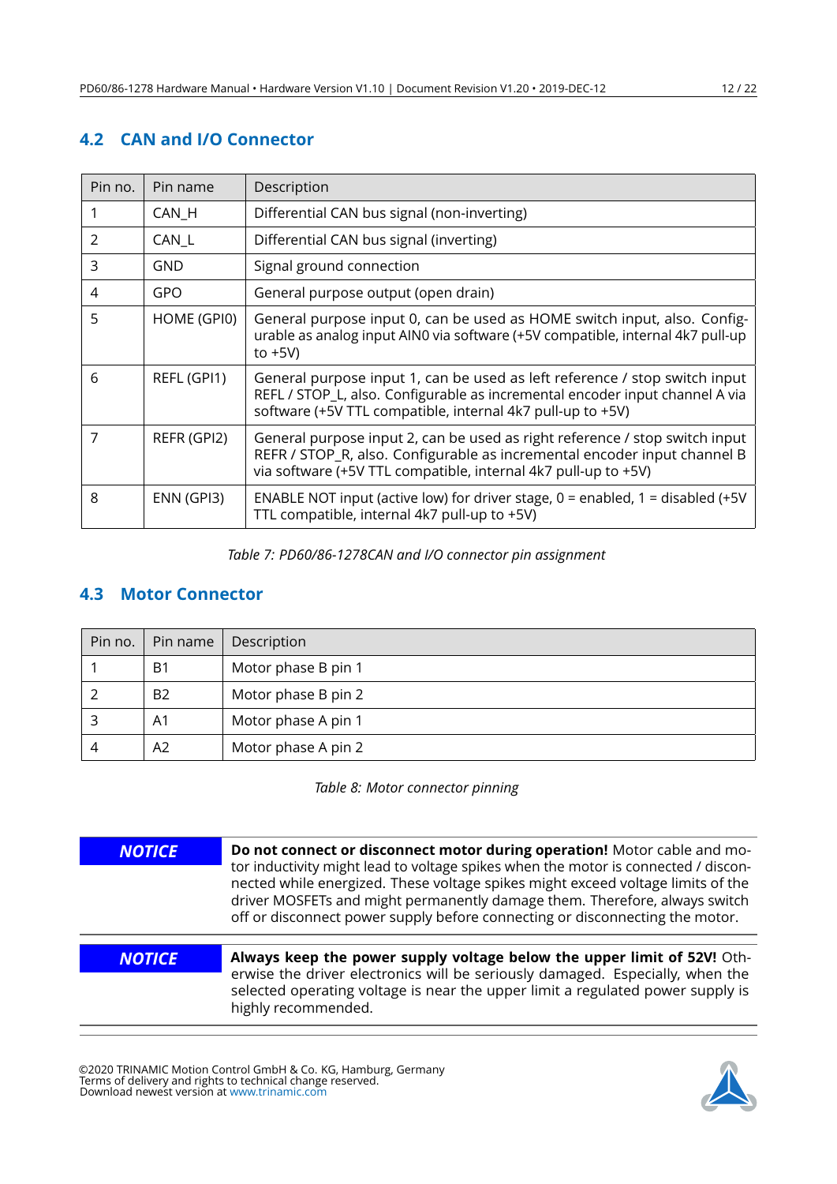## <span id="page-11-0"></span>**4.2 CAN and I/O Connector**

<span id="page-11-2"></span>

| Pin no. | Pin name    | Description                                                                                                                                                                                                               |
|---------|-------------|---------------------------------------------------------------------------------------------------------------------------------------------------------------------------------------------------------------------------|
|         | CAN_H       | Differential CAN bus signal (non-inverting)                                                                                                                                                                               |
| 2       | CAN_L       | Differential CAN bus signal (inverting)                                                                                                                                                                                   |
| 3       | GND         | Signal ground connection                                                                                                                                                                                                  |
| 4       | GPO         | General purpose output (open drain)                                                                                                                                                                                       |
| 5       | HOME (GPI0) | General purpose input 0, can be used as HOME switch input, also. Config-<br>urable as analog input AIN0 via software (+5V compatible, internal 4k7 pull-up<br>to $+5V$ )                                                  |
| 6       | REFL (GPI1) | General purpose input 1, can be used as left reference / stop switch input<br>REFL / STOP_L, also. Configurable as incremental encoder input channel A via<br>software (+5V TTL compatible, internal 4k7 pull-up to +5V)  |
| 7       | REFR (GPI2) | General purpose input 2, can be used as right reference / stop switch input<br>REFR / STOP_R, also. Configurable as incremental encoder input channel B<br>via software (+5V TTL compatible, internal 4k7 pull-up to +5V) |
| 8       | ENN (GPI3)  | ENABLE NOT input (active low) for driver stage, $0 =$ enabled, $1 =$ disabled (+5V<br>TTL compatible, internal 4k7 pull-up to +5V)                                                                                        |

*Table 7: PD60/86-1278CAN and I/O connector pin assignment*

### <span id="page-11-1"></span>**4.3 Motor Connector**

<span id="page-11-3"></span>

|   | Pin no. $\vert$ Pin name | Description         |  |
|---|--------------------------|---------------------|--|
|   | B <sub>1</sub>           | Motor phase B pin 1 |  |
|   | B <sub>2</sub>           | Motor phase B pin 2 |  |
|   | A <sub>1</sub>           | Motor phase A pin 1 |  |
| 4 | A2                       | Motor phase A pin 2 |  |

*Table 8: Motor connector pinning*

| <b>NOTICE</b> | Do not connect or disconnect motor during operation! Motor cable and mo-                                                                                                                                                                                                                                                            |
|---------------|-------------------------------------------------------------------------------------------------------------------------------------------------------------------------------------------------------------------------------------------------------------------------------------------------------------------------------------|
|               | tor inductivity might lead to voltage spikes when the motor is connected / discon-<br>nected while energized. These voltage spikes might exceed voltage limits of the<br>driver MOSFETs and might permanently damage them. Therefore, always switch<br>off or disconnect power supply before connecting or disconnecting the motor. |
|               |                                                                                                                                                                                                                                                                                                                                     |
| <b>NOTICE</b> | Always keep the power supply voltage below the upper limit of 52V! Oth-<br>erwise the driver electronics will be seriously damaged. Especially, when the                                                                                                                                                                            |
|               | selected operating voltage is near the upper limit a regulated power supply is<br>highly recommended.                                                                                                                                                                                                                               |

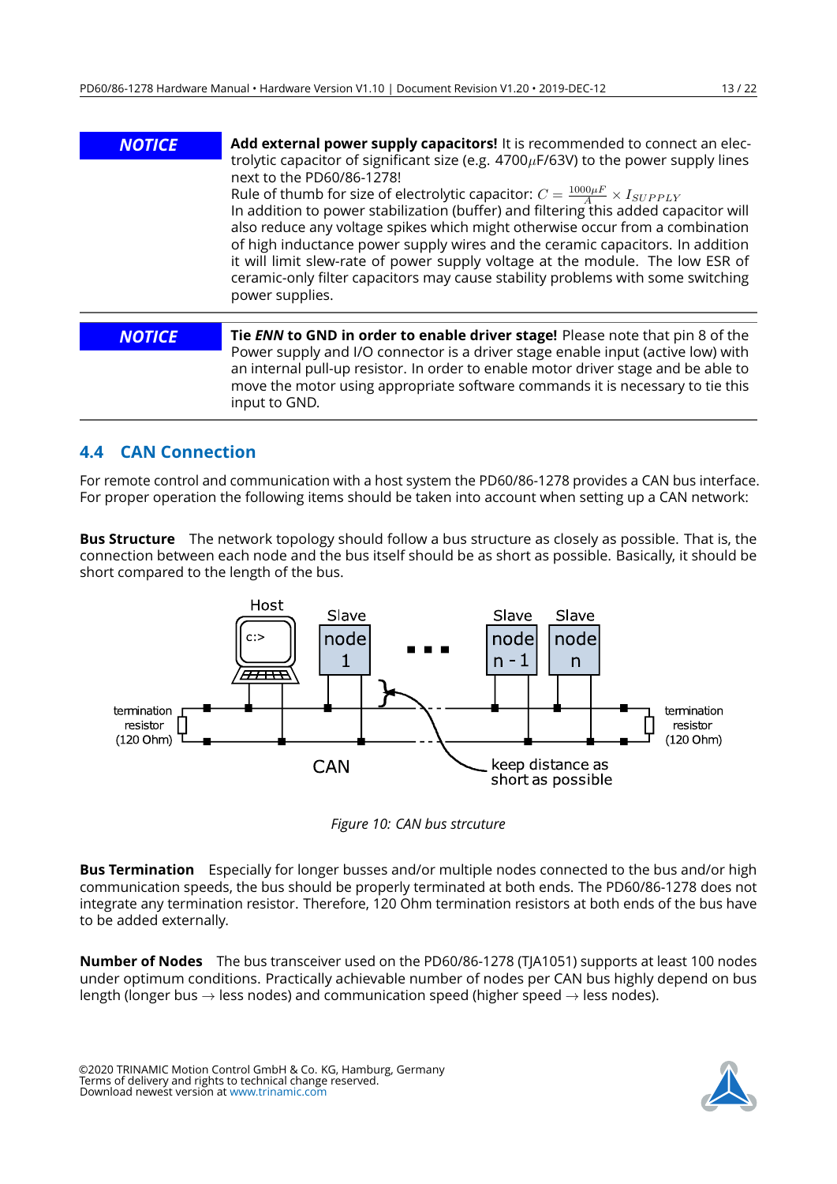| <b>NOTICE</b> | Add external power supply capacitors! It is recommended to connect an elec-<br>trolytic capacitor of significant size (e.g. $4700 \mu$ F/63V) to the power supply lines<br>next to the PD60/86-1278!<br>Rule of thumb for size of electrolytic capacitor: $C = \frac{1000 \mu F}{4} \times I_{SUPPLY}$<br>In addition to power stabilization (buffer) and filtering this added capacitor will<br>also reduce any voltage spikes which might otherwise occur from a combination<br>of high inductance power supply wires and the ceramic capacitors. In addition<br>it will limit slew-rate of power supply voltage at the module. The low ESR of<br>ceramic-only filter capacitors may cause stability problems with some switching<br>power supplies. |
|---------------|--------------------------------------------------------------------------------------------------------------------------------------------------------------------------------------------------------------------------------------------------------------------------------------------------------------------------------------------------------------------------------------------------------------------------------------------------------------------------------------------------------------------------------------------------------------------------------------------------------------------------------------------------------------------------------------------------------------------------------------------------------|
| <b>NOTICE</b> | Tie ENN to GND in order to enable driver stage! Please note that pin 8 of the                                                                                                                                                                                                                                                                                                                                                                                                                                                                                                                                                                                                                                                                          |
|               | Power supply and I/O connector is a driver stage enable input (active low) with<br>an internal pull-up resistor. In order to enable motor driver stage and be able to<br>move the motor using appropriate software commands it is necessary to tie this<br>input to GND.                                                                                                                                                                                                                                                                                                                                                                                                                                                                               |

## <span id="page-12-0"></span>**4.4 CAN Connection**

For remote control and communication with a host system the PD60/86-1278 provides a CAN bus interface. For proper operation the following items should be taken into account when setting up a CAN network:

**Bus Structure** The network topology should follow a bus structure as closely as possible. That is, the connection between each node and the bus itself should be as short as possible. Basically, it should be short compared to the length of the bus.

<span id="page-12-1"></span>

*Figure 10: CAN bus strcuture*

**Bus Termination** Especially for longer busses and/or multiple nodes connected to the bus and/or high communication speeds, the bus should be properly terminated at both ends. The PD60/86-1278 does not integrate any termination resistor. Therefore, 120 Ohm termination resistors at both ends of the bus have to be added externally.

**Number of Nodes** The bus transceiver used on the PD60/86-1278 (TJA1051) supports at least 100 nodes under optimum conditions. Practically achievable number of nodes per CAN bus highly depend on bus length (longer bus  $\rightarrow$  less nodes) and communication speed (higher speed  $\rightarrow$  less nodes).

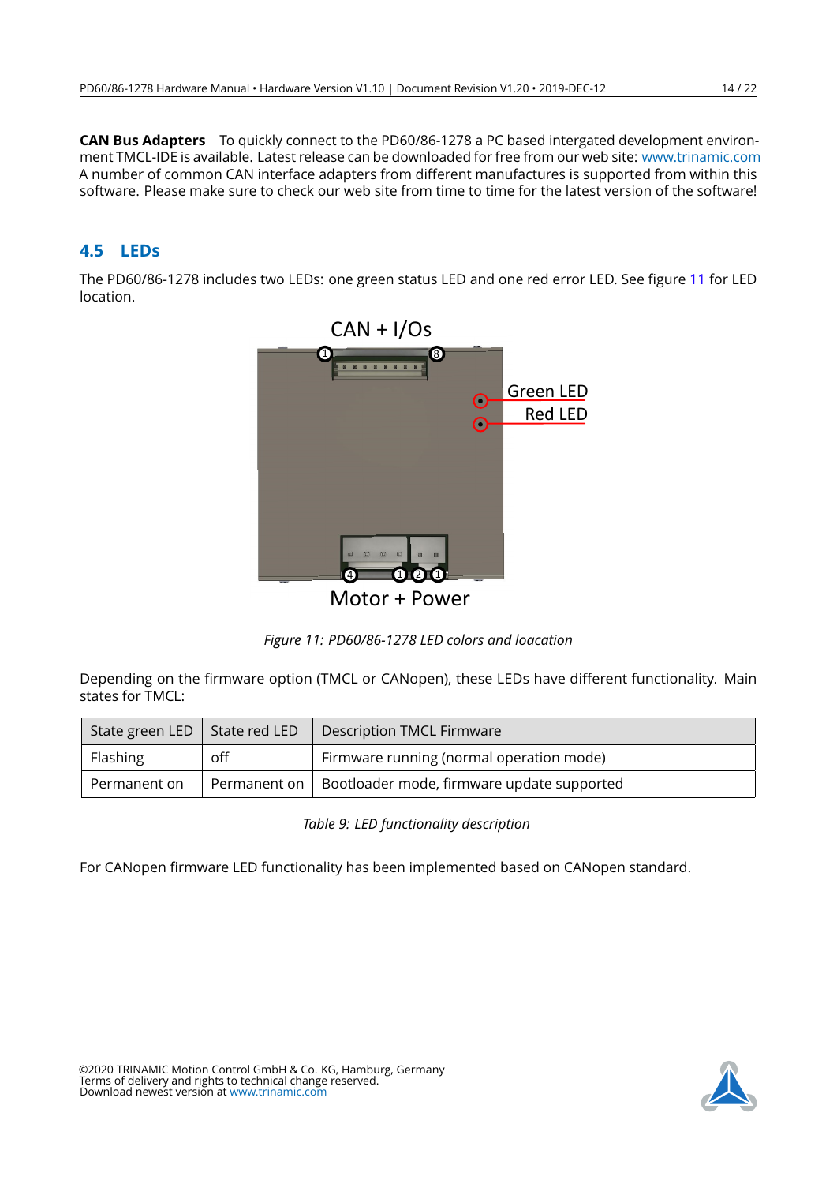**CAN Bus Adapters** To quickly connect to the PD60/86-1278 a PC based intergated development environment TMCL-IDE is available. Latest release can be downloaded for free from our web site: [www.trinamic.com](http://www.trinamic.com) A number of common CAN interface adapters from different manufactures is supported from within this software. Please make sure to check our web site from time to time for the latest version of the software!

## <span id="page-13-0"></span>**4.5 LEDs**

<span id="page-13-1"></span>The PD60/86-1278 includes two LEDs: one green status LED and one red error LED. See figure [11](#page-13-1) for LED location.



*Figure 11: PD60/86-1278 LED colors and loacation*

Depending on the firmware option (TMCL or CANopen), these LEDs have different functionality. Main states for TMCL:

<span id="page-13-2"></span>

| State green LED $\vert$ State red LED |     | Description TMCL Firmware                                 |
|---------------------------------------|-----|-----------------------------------------------------------|
| Flashing                              | off | Firmware running (normal operation mode)                  |
| Permanent on                          |     | Permanent on   Bootloader mode, firmware update supported |

*Table 9: LED functionality description*

For CANopen firmware LED functionality has been implemented based on CANopen standard.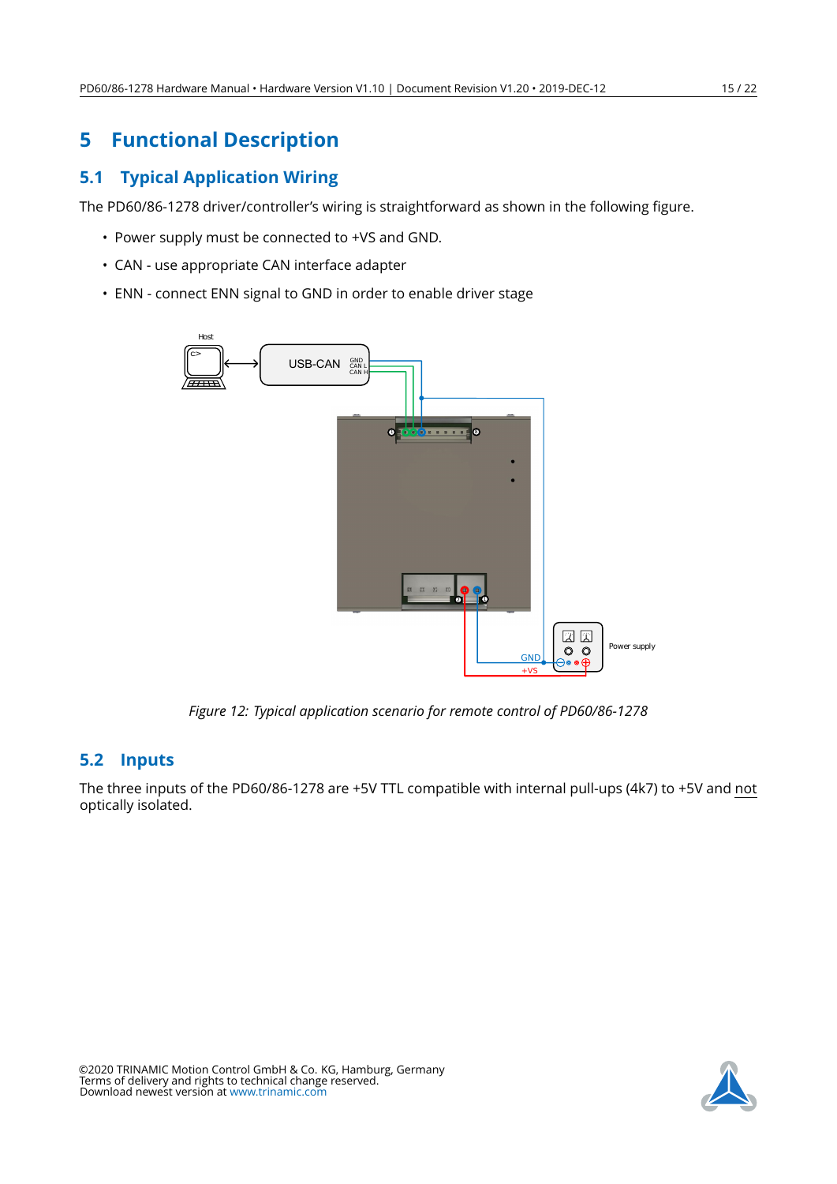# <span id="page-14-0"></span>**5 Functional Description**

## <span id="page-14-1"></span>**5.1 Typical Application Wiring**

The PD60/86-1278 driver/controller's wiring is straightforward as shown in the following figure.

- Power supply must be connected to +VS and GND.
- CAN use appropriate CAN interface adapter
- <span id="page-14-3"></span>• ENN - connect ENN signal to GND in order to enable driver stage



*Figure 12: Typical application scenario for remote control of PD60/86-1278*

## <span id="page-14-2"></span>**5.2 Inputs**

The three inputs of the PD60/86-1278 are +5V TTL compatible with internal pull-ups (4k7) to +5V and not optically isolated.

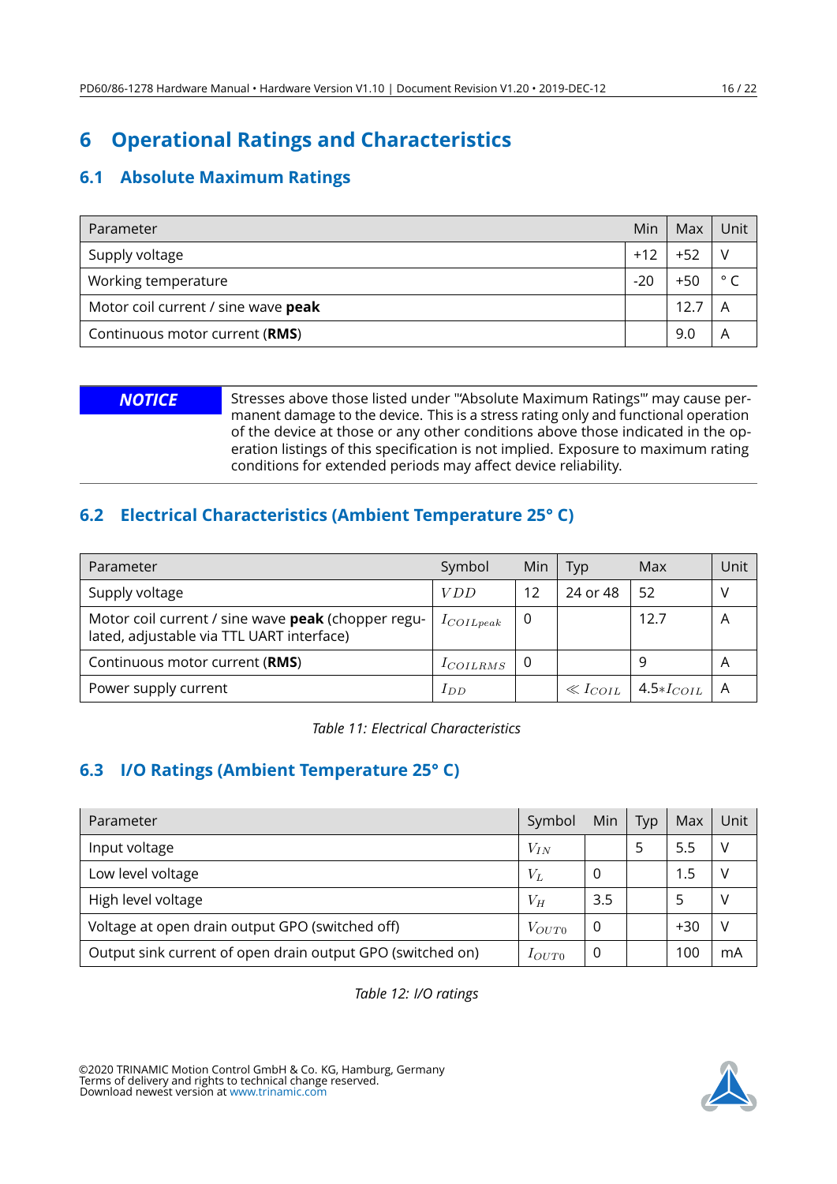# <span id="page-15-0"></span>**6 Operational Ratings and Characteristics**

## <span id="page-15-1"></span>**6.1 Absolute Maximum Ratings**

| <b>Parameter</b>                    | Min   | Max   | Unit           |
|-------------------------------------|-------|-------|----------------|
| Supply voltage                      | $+12$ |       |                |
| Working temperature                 | $-20$ | $+50$ | $\circ$ $\sim$ |
| Motor coil current / sine wave peak |       | 12.   |                |
| Continuous motor current (RMS)      |       | 9.0   |                |

**NOTICE** Stresses above those listed under "Absolute Maximum Ratings"' may cause permanent damage to the device. This is a stress rating only and functional operation of the device at those or any other conditions above those indicated in the operation listings of this specification is not implied. Exposure to maximum rating conditions for extended periods may affect device reliability.

## <span id="page-15-2"></span>**6.2 Electrical Characteristics (Ambient Temperature 25° C)**

<span id="page-15-4"></span>

| Parameter                                                                                       | Symbol        | Min      | Typ            | Max                     | Unit           |
|-------------------------------------------------------------------------------------------------|---------------|----------|----------------|-------------------------|----------------|
| Supply voltage                                                                                  | <i>VDD</i>    | 12       | 24 or 48       | 52                      |                |
| Motor coil current / sine wave peak (chopper regu-<br>lated, adjustable via TTL UART interface) | $I_{COLpeak}$ | $\Omega$ |                | 12.7                    | A              |
| Continuous motor current (RMS)                                                                  | $I_{COLRMS}$  | υ        |                | 9                       | $\overline{A}$ |
| Power supply current                                                                            | $_{IDD}$      |          | $\ll I_{COIL}$ | $\vert$ 4.5* $I_{COLL}$ |                |

*Table 11: Electrical Characteristics*

## <span id="page-15-3"></span>**6.3 I/O Ratings (Ambient Temperature 25° C)**

<span id="page-15-5"></span>

| Parameter                                                  | Symbol     | Min | Typ | Max   | Unit |
|------------------------------------------------------------|------------|-----|-----|-------|------|
| Input voltage                                              | $V_{IN}$   |     |     | 5.5   |      |
| Low level voltage                                          | $V_L$      |     |     | 1.5   |      |
| High level voltage                                         | $V_H$      | 3.5 |     |       |      |
| Voltage at open drain output GPO (switched off)            | $V_{OUT0}$ |     |     | $+30$ |      |
| Output sink current of open drain output GPO (switched on) | $I_{OUT0}$ | U   |     | 100   | mA   |

*Table 12: I/O ratings*

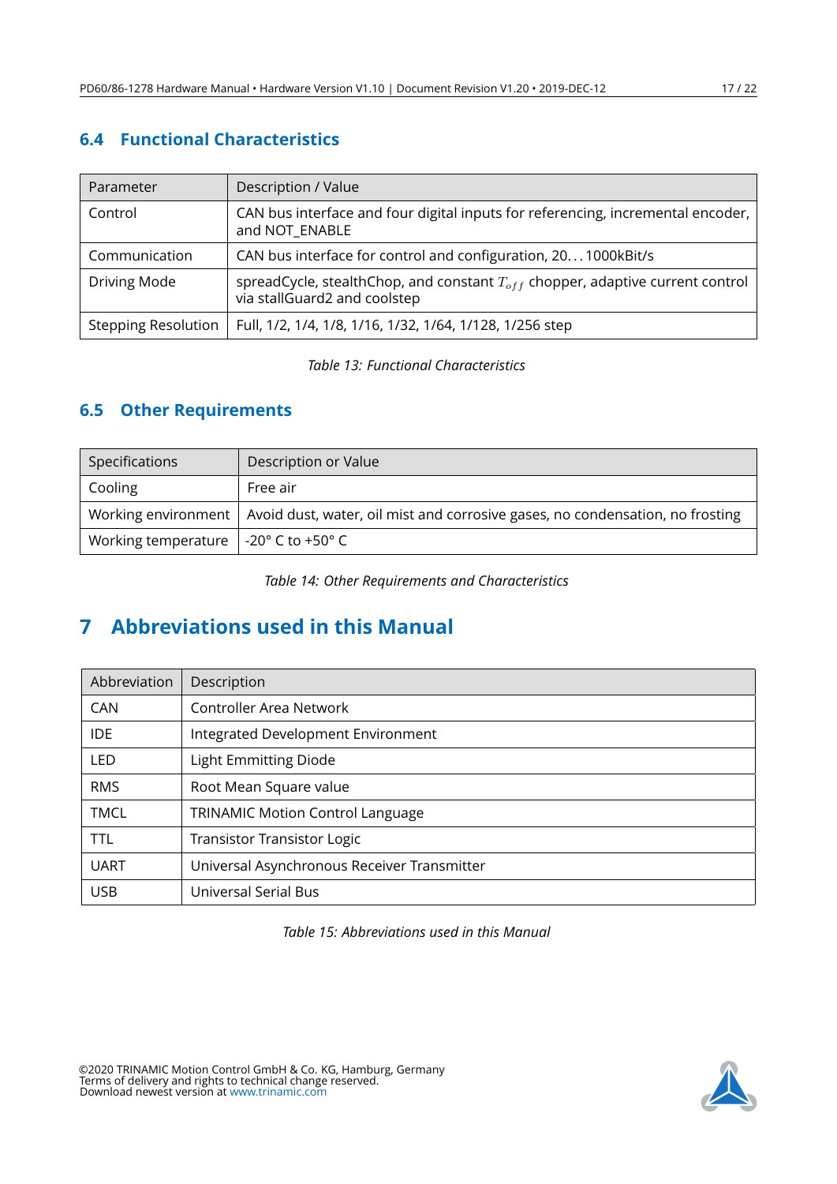# <span id="page-16-0"></span>**6.4 Functional Characteristics**

<span id="page-16-3"></span>

| Parameter                  | Description / Value                                                                                                |
|----------------------------|--------------------------------------------------------------------------------------------------------------------|
| Control                    | CAN bus interface and four digital inputs for referencing, incremental encoder,<br>and NOT_ENABLE                  |
| Communication              | CAN bus interface for control and configuration, 201000kBit/s                                                      |
| Driving Mode               | spreadCycle, stealthChop, and constant $T_{off}$ chopper, adaptive current control<br>via stallGuard2 and coolstep |
| <b>Stepping Resolution</b> | Full, 1/2, 1/4, 1/8, 1/16, 1/32, 1/64, 1/128, 1/256 step                                                           |

*Table 13: Functional Characteristics*

## <span id="page-16-1"></span>**6.5 Other Requirements**

<span id="page-16-4"></span>

| Specifications                                                 | Description or Value                                                                                |  |  |
|----------------------------------------------------------------|-----------------------------------------------------------------------------------------------------|--|--|
| Cooling                                                        | Free air                                                                                            |  |  |
|                                                                | Working environment   Avoid dust, water, oil mist and corrosive gases, no condensation, no frosting |  |  |
| Working temperature $\vert$ -20 $\degree$ C to +50 $\degree$ C |                                                                                                     |  |  |

*Table 14: Other Requirements and Characteristics*

# <span id="page-16-2"></span>**7 Abbreviations used in this Manual**

<span id="page-16-5"></span>

| Abbreviation | Description                                 |  |  |  |  |
|--------------|---------------------------------------------|--|--|--|--|
| CAN          | Controller Area Network                     |  |  |  |  |
| <b>IDE</b>   | Integrated Development Environment          |  |  |  |  |
| LED          | <b>Light Emmitting Diode</b>                |  |  |  |  |
| <b>RMS</b>   | Root Mean Square value                      |  |  |  |  |
| <b>TMCL</b>  | <b>TRINAMIC Motion Control Language</b>     |  |  |  |  |
| <b>TTL</b>   | <b>Transistor Transistor Logic</b>          |  |  |  |  |
| <b>UART</b>  | Universal Asynchronous Receiver Transmitter |  |  |  |  |
| <b>USB</b>   | <b>Universal Serial Bus</b>                 |  |  |  |  |

*Table 15: Abbreviations used in this Manual*

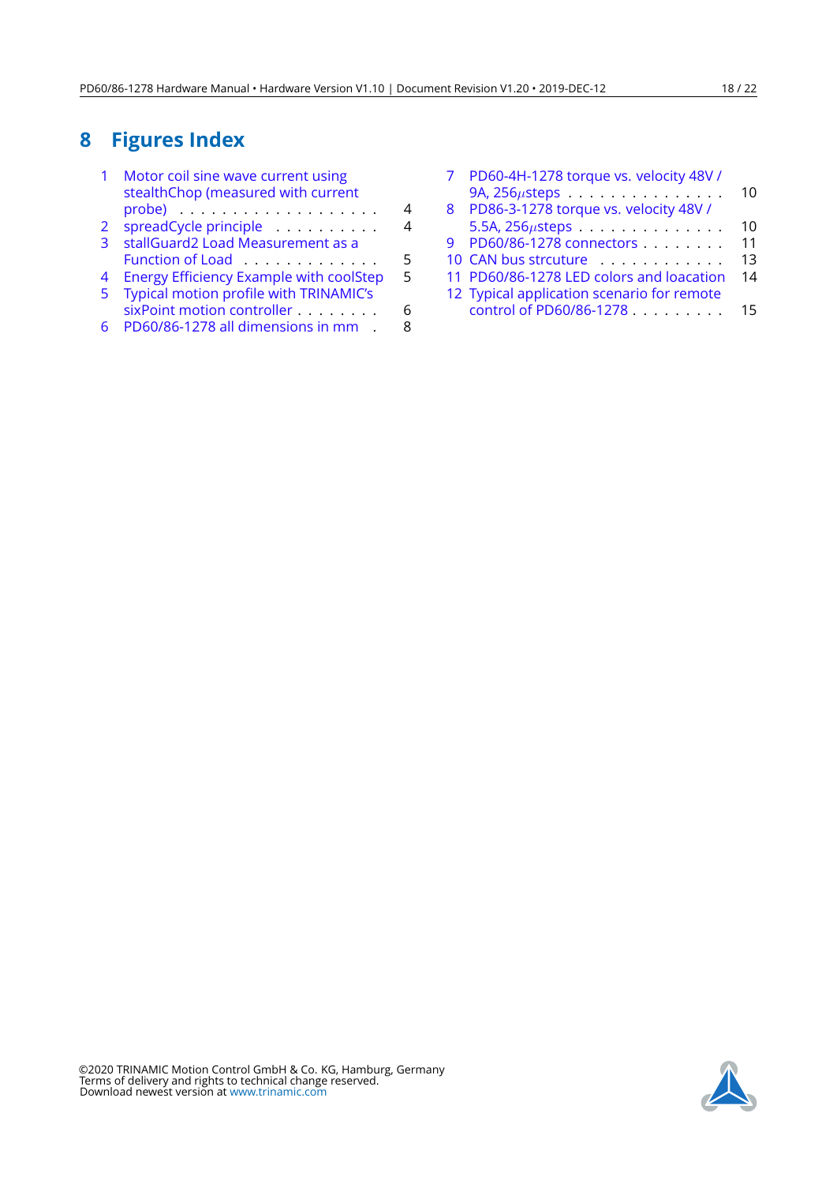# <span id="page-17-0"></span>**8 Figures Index**

|   | Motor coil sine wave current using<br>stealthChop (measured with current |   |
|---|--------------------------------------------------------------------------|---|
|   |                                                                          | 4 |
| 2 | spreadCycle principle                                                    |   |
| 3 | stallGuard2 Load Measurement as a                                        |   |
|   | Function of Load                                                         | 5 |
| 4 | <b>Energy Efficiency Example with coolStep</b>                           | 5 |
| 5 | Typical motion profile with TRINAMIC's                                   |   |
|   | sixPoint motion controller                                               | 6 |
|   | PD60/86-1278 all dimensions in mm .                                      |   |
|   |                                                                          |   |

|   | PD60-4H-1278 torque vs. velocity 48V /<br>9A, $256\mu$ steps | 10 |
|---|--------------------------------------------------------------|----|
| 8 | PD86-3-1278 torque vs. velocity 48V /                        |    |
|   | 5.5A, 256 $\mu$ steps                                        | 10 |
|   | 9 PD60/86-1278 connectors                                    | 11 |
|   | 10 CAN bus strcuture                                         | 13 |
|   | 11 PD60/86-1278 LED colors and loacation                     | 14 |
|   | 12 Typical application scenario for remote                   |    |
|   | control of PD60/86-1278                                      | 15 |
|   |                                                              |    |

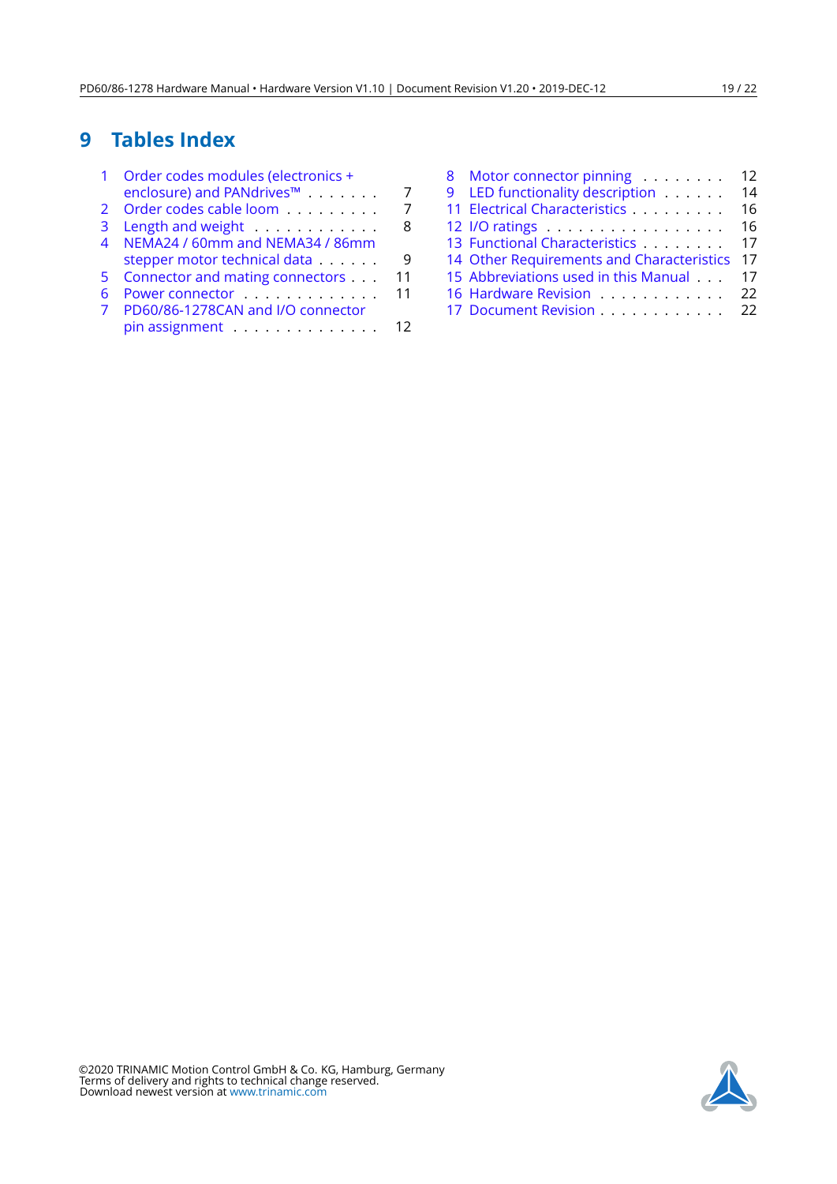# <span id="page-18-0"></span>**9 Tables Index**

| enclosure) and PANdrives™ |                                                                                                                                                                                                                             |
|---------------------------|-----------------------------------------------------------------------------------------------------------------------------------------------------------------------------------------------------------------------------|
|                           |                                                                                                                                                                                                                             |
|                           |                                                                                                                                                                                                                             |
|                           |                                                                                                                                                                                                                             |
|                           |                                                                                                                                                                                                                             |
|                           | ч                                                                                                                                                                                                                           |
|                           | 11                                                                                                                                                                                                                          |
|                           | 11                                                                                                                                                                                                                          |
|                           |                                                                                                                                                                                                                             |
|                           | 12                                                                                                                                                                                                                          |
|                           | Order codes cable loom<br>Length and weight<br>NEMA24 / 60mm and NEMA34 / 86mm<br>stepper motor technical data<br>Connector and mating connectors<br>Power connector<br>PD60/86-1278CAN and I/O connector<br>pin assignment |

|                                           | 12 |
|-------------------------------------------|----|
| 8 Motor connector pinning                 |    |
| 9 LED functionality description           | 14 |
| 11 Electrical Characteristics             | 16 |
| 12 I/O ratings                            | 16 |
| 13 Functional Characteristics             | 17 |
| 14 Other Requirements and Characteristics | 17 |
| 15 Abbreviations used in this Manual      | 17 |
| 16 Hardware Revision 22                   |    |
| 17 Document Revision 22                   |    |

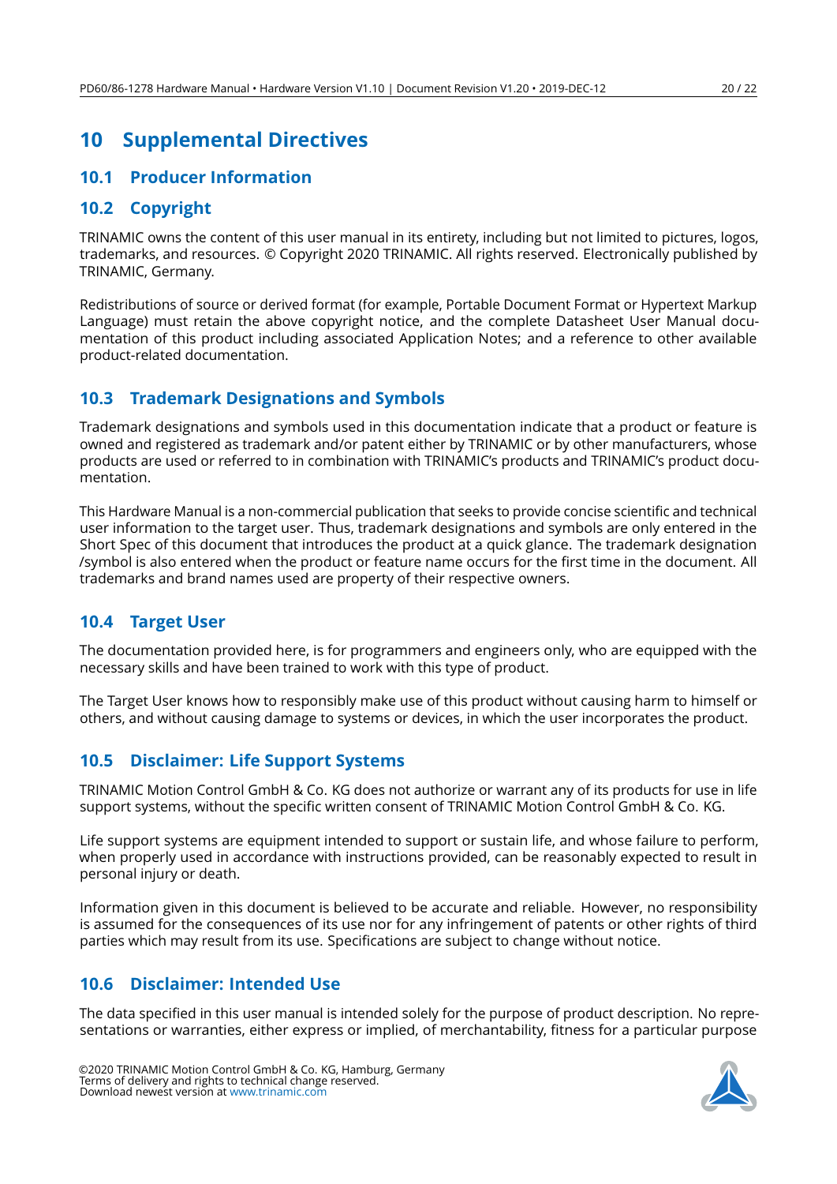# <span id="page-19-0"></span>**10 Supplemental Directives**

#### <span id="page-19-1"></span>**10.1 Producer Information**

#### <span id="page-19-2"></span>**10.2 Copyright**

TRINAMIC owns the content of this user manual in its entirety, including but not limited to pictures, logos, trademarks, and resources. © Copyright 2020 TRINAMIC. All rights reserved. Electronically published by TRINAMIC, Germany.

Redistributions of source or derived format (for example, Portable Document Format or Hypertext Markup Language) must retain the above copyright notice, and the complete Datasheet User Manual documentation of this product including associated Application Notes; and a reference to other available product-related documentation.

## <span id="page-19-3"></span>**10.3 Trademark Designations and Symbols**

Trademark designations and symbols used in this documentation indicate that a product or feature is owned and registered as trademark and/or patent either by TRINAMIC or by other manufacturers, whose products are used or referred to in combination with TRINAMIC's products and TRINAMIC's product documentation.

This Hardware Manual is a non-commercial publication that seeks to provide concise scientific and technical user information to the target user. Thus, trademark designations and symbols are only entered in the Short Spec of this document that introduces the product at a quick glance. The trademark designation /symbol is also entered when the product or feature name occurs for the first time in the document. All trademarks and brand names used are property of their respective owners.

## <span id="page-19-4"></span>**10.4 Target User**

The documentation provided here, is for programmers and engineers only, who are equipped with the necessary skills and have been trained to work with this type of product.

The Target User knows how to responsibly make use of this product without causing harm to himself or others, and without causing damage to systems or devices, in which the user incorporates the product.

## <span id="page-19-5"></span>**10.5 Disclaimer: Life Support Systems**

TRINAMIC Motion Control GmbH & Co. KG does not authorize or warrant any of its products for use in life support systems, without the specific written consent of TRINAMIC Motion Control GmbH & Co. KG.

Life support systems are equipment intended to support or sustain life, and whose failure to perform, when properly used in accordance with instructions provided, can be reasonably expected to result in personal injury or death.

Information given in this document is believed to be accurate and reliable. However, no responsibility is assumed for the consequences of its use nor for any infringement of patents or other rights of third parties which may result from its use. Specifications are subject to change without notice.

#### <span id="page-19-6"></span>**10.6 Disclaimer: Intended Use**

The data specified in this user manual is intended solely for the purpose of product description. No representations or warranties, either express or implied, of merchantability, fitness for a particular purpose

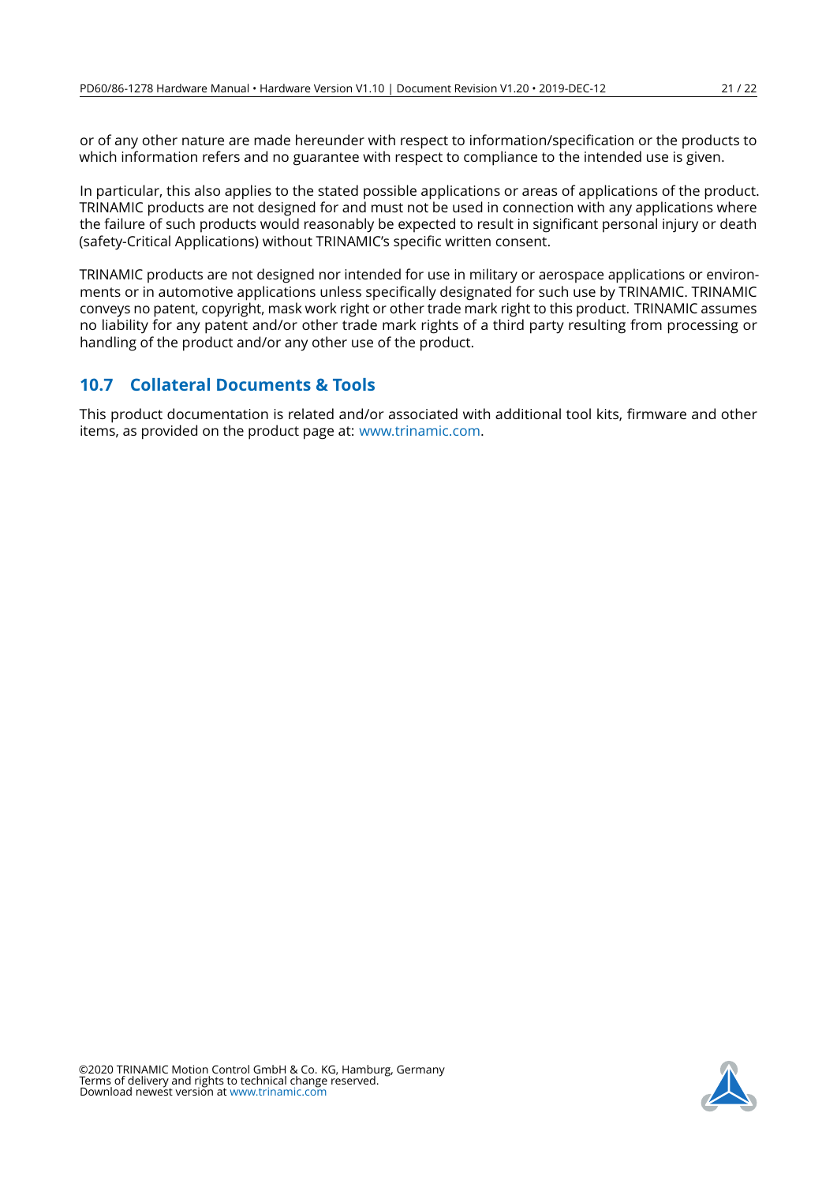or of any other nature are made hereunder with respect to information/specification or the products to which information refers and no guarantee with respect to compliance to the intended use is given.

In particular, this also applies to the stated possible applications or areas of applications of the product. TRINAMIC products are not designed for and must not be used in connection with any applications where the failure of such products would reasonably be expected to result in significant personal injury or death (safety-Critical Applications) without TRINAMIC's specific written consent.

TRINAMIC products are not designed nor intended for use in military or aerospace applications or environments or in automotive applications unless specifically designated for such use by TRINAMIC. TRINAMIC conveys no patent, copyright, mask work right or other trade mark right to this product. TRINAMIC assumes no liability for any patent and/or other trade mark rights of a third party resulting from processing or handling of the product and/or any other use of the product.

## <span id="page-20-0"></span>**10.7 Collateral Documents & Tools**

This product documentation is related and/or associated with additional tool kits, firmware and other items, as provided on the product page at: [www.trinamic.com.](http://www.trinamic.com)